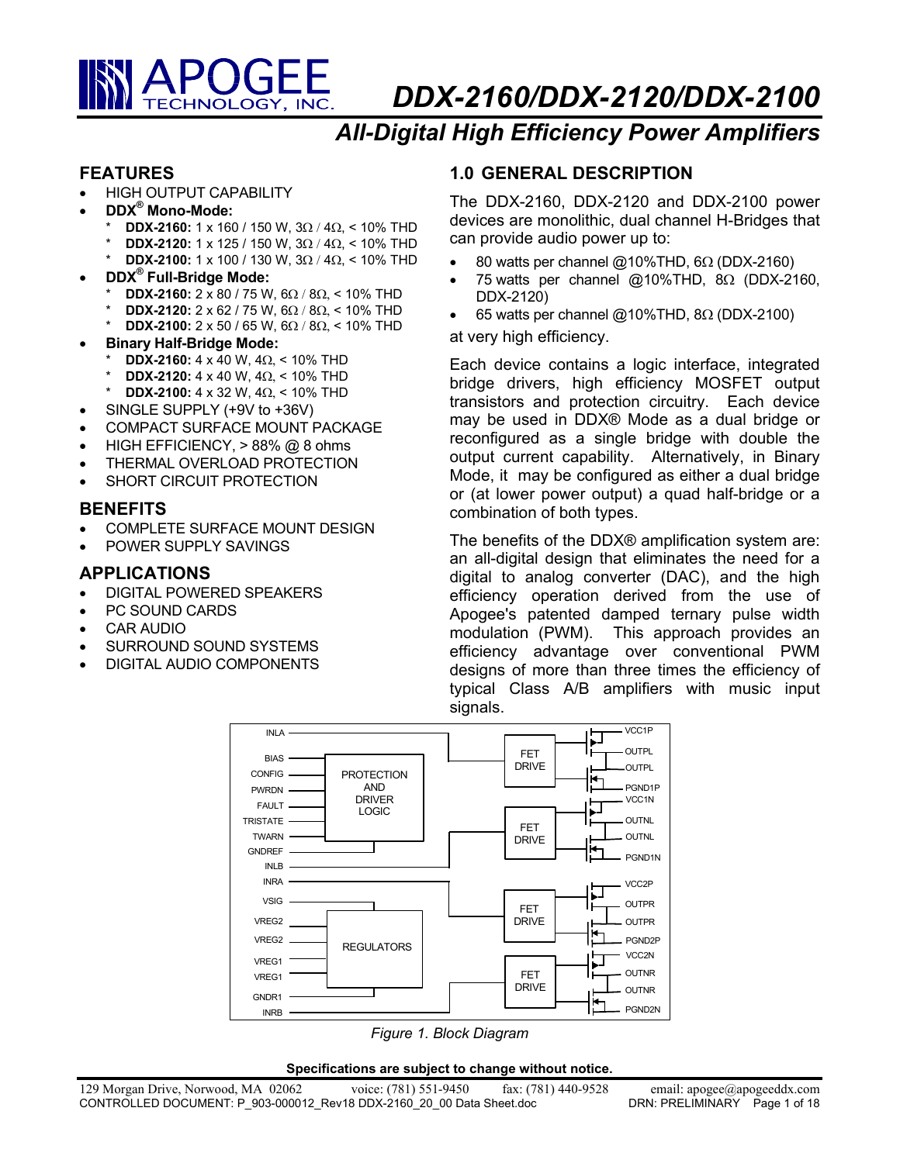

*DDX-2160/DDX-2120/DDX-2100* 

# *All-Digital High Efficiency Power Amplifiers*

## **FEATURES**

- HIGH OUTPUT CAPABILITY
- **DDX® Mono-Mode:** 
	- **DDX-2160:** 1 x 160 / 150 W, 3Ω / 4Ω, < 10% THD
	- **DDX-2120:** 1 x 125 / 150 W, 3Ω / 4Ω, < 10% THD
	- **DDX-2100:** 1 x 100 / 130 W, 3Ω / 4Ω, < 10% THD
- **DDX® Full-Bridge Mode:** 
	- **DDX-2160:** 2 x 80 / 75 W, 6 $\Omega$  / 8 $\Omega$ , < 10% THD
	- **DDX-2120:** 2 x 62 / 75 W, 6 $\Omega$  / 8 $\Omega$ , < 10% THD
	- \* **DDX-2100:** 2 x 50 / 65 W, 6Ω / 8Ω, < 10% THD
- **Binary Half-Bridge Mode:** 
	- **DDX-2160:** 4 x 40 W, 4Ω, < 10% THD
	- **DDX-2120:** 4 x 40 W, 4Ω, < 10% THD
	- \* **DDX-2100:** 4 x 32 W, 4Ω, < 10% THD
- SINGLE SUPPLY (+9V to +36V)
- COMPACT SURFACE MOUNT PACKAGE
- HIGH EFFICIENCY, > 88% @ 8 ohms
- THERMAL OVERLOAD PROTECTION
- SHORT CIRCUIT PROTECTION

## **BENEFITS**

- COMPLETE SURFACE MOUNT DESIGN
- POWER SUPPLY SAVINGS

# **APPLICATIONS**

- DIGITAL POWERED SPEAKERS
- PC SOUND CARDS
- CAR AUDIO
- SURROUND SOUND SYSTEMS
- DIGITAL AUDIO COMPONENTS

# **1.0 GENERAL DESCRIPTION**

The DDX-2160, DDX-2120 and DDX-2100 power devices are monolithic, dual channel H-Bridges that can provide audio power up to:

- 80 watts per channel @10%THD,  $6\Omega$  (DDX-2160)
- 75 watts per channel @10%THD, 8Ω (DDX-2160, DDX-2120)
- 65 watts per channel @10%THD,  $8\Omega$  (DDX-2100)

at very high efficiency.

Each device contains a logic interface, integrated bridge drivers, high efficiency MOSFET output transistors and protection circuitry. Each device may be used in DDX® Mode as a dual bridge or reconfigured as a single bridge with double the output current capability. Alternatively, in Binary Mode, it may be configured as either a dual bridge or (at lower power output) a quad half-bridge or a combination of both types.

The benefits of the DDX® amplification system are: an all-digital design that eliminates the need for a digital to analog converter (DAC), and the high efficiency operation derived from the use of Apogee's patented damped ternary pulse width modulation (PWM). This approach provides an efficiency advantage over conventional PWM designs of more than three times the efficiency of typical Class A/B amplifiers with music input signals.



*Figure 1. Block Diagram*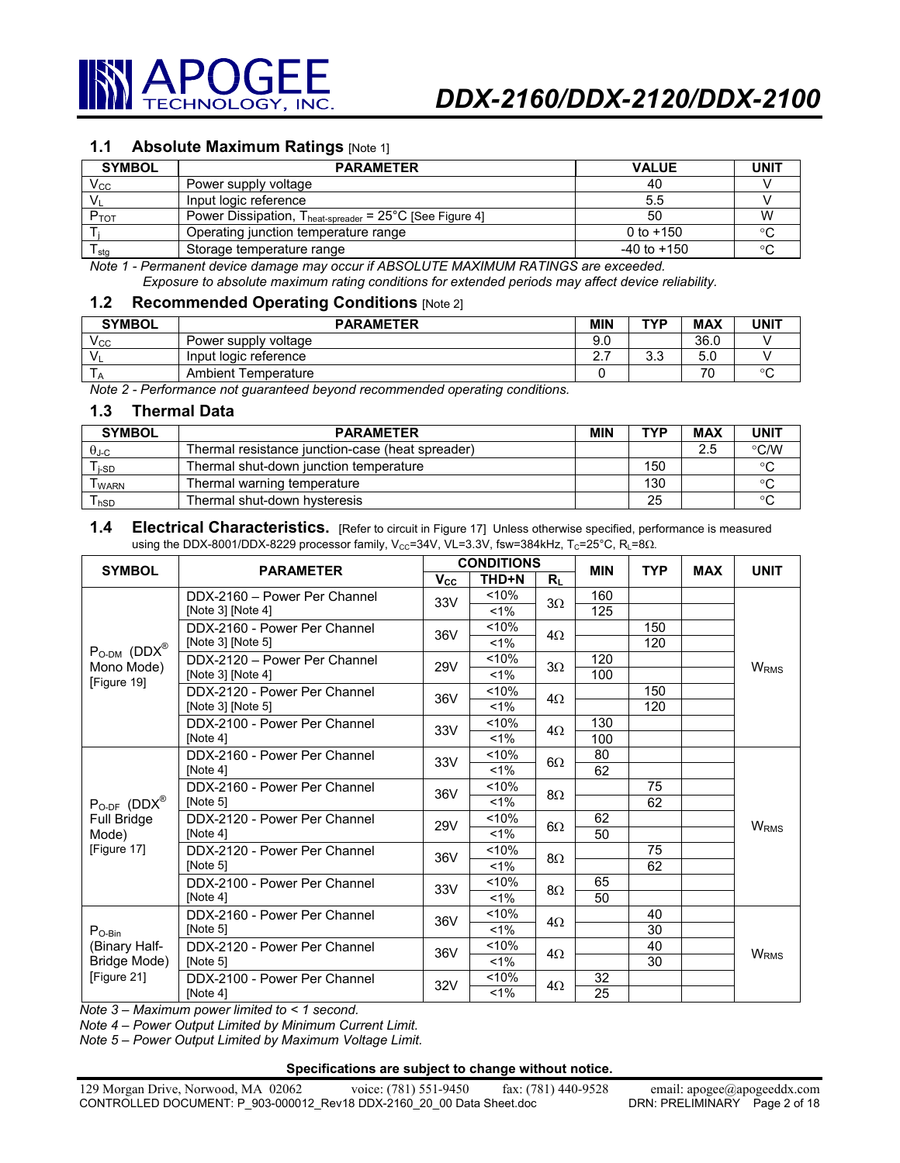

#### **1.1 Absolute Maximum Ratings** [Note 1]

| <b>SYMBOL</b> | <b>PARAMETER</b>                                                           | <b>VALUE</b>    | <b>UNIT</b> |
|---------------|----------------------------------------------------------------------------|-----------------|-------------|
| $\rm V_{CC}$  | Power supply voltage                                                       | 40              |             |
|               | Input logic reference                                                      | $5.5^{\circ}$   |             |
| $P_{TOT}$     | Power Dissipation, $T_{heat\text{-}spreader} = 25^{\circ}C$ [See Figure 4] | 50              | W           |
|               | Operating junction temperature range                                       | 0 to $+150$     |             |
| l stg         | Storage temperature range                                                  | $-40$ to $+150$ |             |

*Note 1 - Permanent device damage may occur if ABSOLUTE MAXIMUM RATINGS are exceeded. Exposure to absolute maximum rating conditions for extended periods may affect device reliability.* 

#### **1.2 Recommended Operating Conditions** [Note 2]

| <b>SYMBOL</b> | <b>PARAMETER</b>      |          | TVD               | <b>MAX</b> | UNIT |
|---------------|-----------------------|----------|-------------------|------------|------|
| Vcc           | Power supply voltage  | 9.0      |                   | 36.0       |      |
|               | Input logic reference | <u>.</u> | $\sqrt{2}$<br>ບ.ບ | ບ.ບ        |      |
|               | Ambient Temperature   |          |                   | 70         |      |

*Note 2 - Performance not guaranteed beyond recommended operating conditions.* 

#### **1.3 Thermal Data**

| <b>SYMBOL</b> | <b>PARAMETER</b>                                 | <b>MIN</b> | TYP | <b>MAX</b> | <b>UNIT</b>   |
|---------------|--------------------------------------------------|------------|-----|------------|---------------|
| $\theta$ J-C  | Thermal resistance junction-case (heat spreader) |            |     | 2.5        | $\degree$ C/W |
| l i-SD        | Thermal shut-down junction temperature           |            | 150 |            |               |
| I WARN        | Thermal warning temperature                      |            | 130 |            |               |
| l hSD         | Thermal shut-down hysteresis                     |            | 25  |            |               |

#### 1.4 Electrical Characteristics. [Refer to circuit in Figure 17] Unless otherwise specified, performance is measured using the DDX-8001/DDX-8229 processor family, Vcc=34V, VL=3.3V, fsw=384kHz, Tc=25°C, RL=8 $\Omega$ .

| <b>SYMBOL</b>                                | <b>PARAMETER</b>                         |              | <b>CONDITIONS</b> |           | <b>MIN</b> | <b>TYP</b> | <b>MAX</b> | <b>UNIT</b>      |
|----------------------------------------------|------------------------------------------|--------------|-------------------|-----------|------------|------------|------------|------------------|
|                                              |                                          | $V_{\rm CC}$ | THD+N             | Rı        |            |            |            |                  |
|                                              | DDX-2160 - Power Per Channel             | 33V          | < 10%             | $3\Omega$ | 160        |            |            |                  |
|                                              | [Note 3] [Note 4]                        |              | $< 1\%$           |           | 125        |            |            |                  |
|                                              | DDX-2160 - Power Per Channel             | 36V          | < 10%             | $4\Omega$ |            | 150        |            |                  |
| $P_{O-DM}$ (DDX®                             | [Note 3] [Note 5]                        |              | $< 1\%$           |           |            | 120        |            |                  |
| Mono Mode)                                   | DDX-2120 - Power Per Channel             | 29V          | < 10%             | $3\Omega$ | 120        |            |            | <b>WRMS</b>      |
| [Figure 19]                                  | [Note 3] [Note 4]                        |              | $< 1\%$           |           | 100        |            |            |                  |
|                                              | DDX-2120 - Power Per Channel             | 36V          | < 10%             | $4\Omega$ |            | 150        |            |                  |
|                                              | [Note 3] [Note 5]                        |              | $1\%$             |           |            | 120        |            |                  |
|                                              | DDX-2100 - Power Per Channel             | 33V          | < 10%             | $4\Omega$ | 130        |            |            |                  |
|                                              | [Note 4]                                 |              | $1\%$             |           | 100        |            |            |                  |
|                                              | DDX-2160 - Power Per Channel<br>[Note 4] | 33V          | < 10%             | $6\Omega$ | 80         |            |            |                  |
|                                              |                                          |              | $1\%$             |           | 62         |            |            |                  |
|                                              | DDX-2160 - Power Per Channel<br>[Note 5] |              | < 10%             | $8\Omega$ |            | 75         |            |                  |
| $P_{O-DF}$ (DDX <sup>®</sup>                 |                                          |              | $1\%$             |           |            | 62         |            |                  |
| Full Bridge                                  | DDX-2120 - Power Per Channel             | 29V          | 10%               | $6\Omega$ | 62         |            |            | W <sub>RMS</sub> |
| Mode)                                        | [Note 4]                                 |              | $1\%$             |           | 50         |            |            |                  |
| [Figure 17]                                  | DDX-2120 - Power Per Channel             | 36V          | < 10%             | $8\Omega$ |            | 75         |            |                  |
|                                              | [Note 5]                                 |              | $1\%$             |           |            | 62         |            |                  |
|                                              | DDX-2100 - Power Per Channel             | 33V          | < 10%             | 8Ω        | 65         |            |            |                  |
|                                              | [Note $4$ ]                              |              | $1\%$             |           | 50         |            |            |                  |
|                                              | DDX-2160 - Power Per Channel             | 36V          | < 10%             | $4\Omega$ |            | 40         |            |                  |
| $P_{O-Bin}$<br>(Binary Half-<br>Bridge Mode) | [Note 5]                                 |              | $< 1\%$           |           |            | 30         |            |                  |
|                                              | DDX-2120 - Power Per Channel             | 36V          | < 10%             | $4\Omega$ |            | 40         |            | W <sub>RMS</sub> |
|                                              | [Note 5]                                 |              | $1\%$             |           |            | 30         |            |                  |
| [Figure 21]                                  | DDX-2100 - Power Per Channel             | 32V          | $~10\%$           | $4\Omega$ | 32         |            |            |                  |
|                                              | [Note $4$ ]                              |              | 1%                |           | 25         |            |            |                  |

*Note 3 – Maximum power limited to < 1 second.* 

*Note 4 – Power Output Limited by Minimum Current Limit.* 

*Note 5 – Power Output Limited by Maximum Voltage Limit.*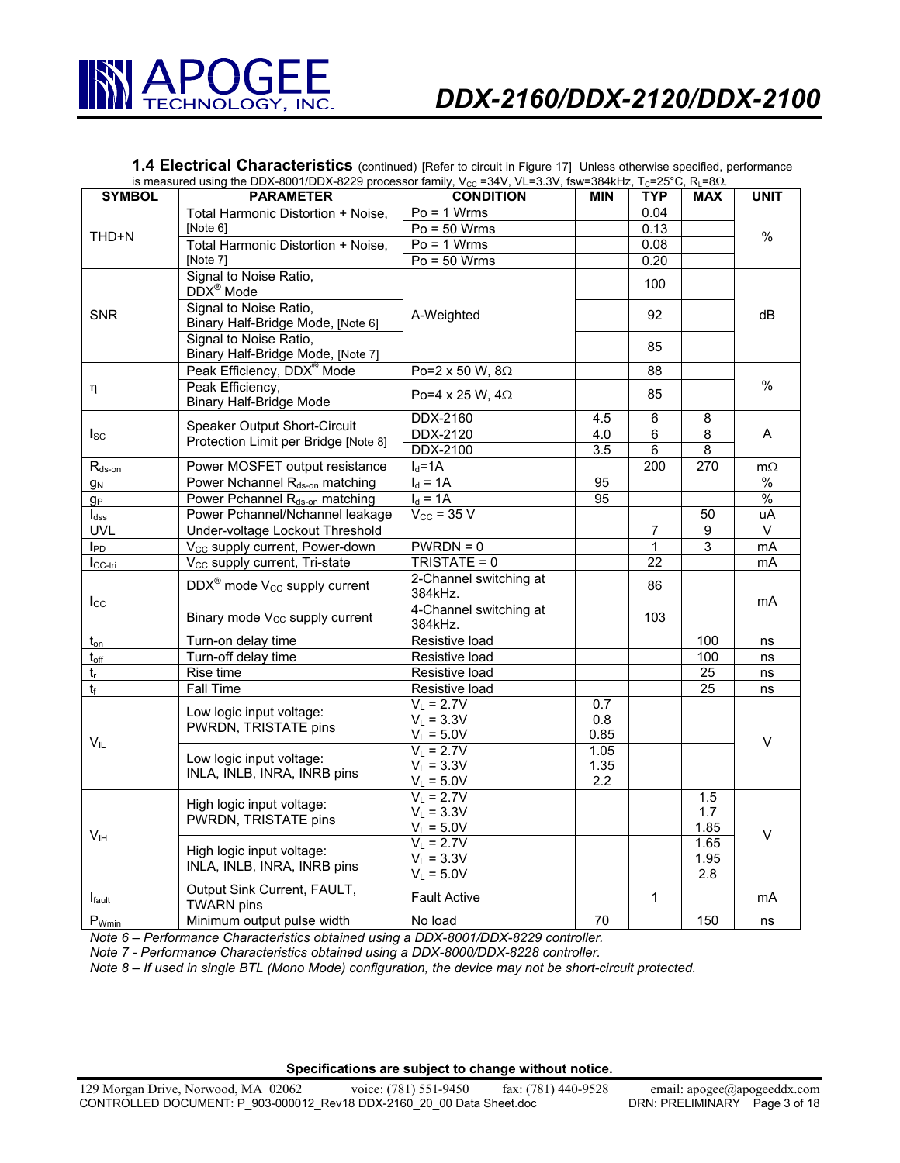

**1.4 Electrical Characteristics** (continued) [Refer to circuit in Figure 17] Unless otherwise specified, performance is measured using the DDX-8001/DDX-8229 processor family, V<sub>cc</sub> =34V, VL=3.3V, fsw=384kHz, T<sub>C</sub>=25°C, R<sub>L</sub>=8Ω.

| <b>SYMBOL</b>    | <b>PARAMETER</b>                                 | <b>CONDITION</b>       | <b>MIN</b>       | <b>TYP</b>      | <b>MAX</b>              | <b>UNIT</b>             |  |
|------------------|--------------------------------------------------|------------------------|------------------|-----------------|-------------------------|-------------------------|--|
|                  | Total Harmonic Distortion + Noise,               | $Po = 1$ Wrms          |                  | 0.04            |                         |                         |  |
|                  | [Note 6]                                         | $Po = 50$ Wrms         |                  | 0.13            |                         |                         |  |
| THD+N            | Total Harmonic Distortion + Noise,               | $Po = 1$ Wrms          |                  | 0.08            |                         | $\%$                    |  |
|                  | [Note 7]                                         | $Po = 50$ Wrms         |                  | 0.20            |                         |                         |  |
|                  | Signal to Noise Ratio,                           |                        |                  |                 |                         |                         |  |
|                  | DDX <sup>®</sup> Mode                            |                        |                  | 100             |                         |                         |  |
|                  | Signal to Noise Ratio,                           |                        |                  |                 |                         |                         |  |
| <b>SNR</b>       | Binary Half-Bridge Mode, [Note 6]                | A-Weighted             |                  | 92              |                         | dB                      |  |
|                  | Signal to Noise Ratio,                           |                        |                  | 85              |                         |                         |  |
|                  | Binary Half-Bridge Mode, [Note 7]                |                        |                  |                 |                         |                         |  |
|                  | Peak Efficiency, DDX <sup>®</sup> Mode           | Po=2 x 50 W, $8\Omega$ |                  | 88              |                         |                         |  |
| η                | Peak Efficiency,                                 | Po=4 x 25 W, $4\Omega$ |                  | 85              |                         | $\%$                    |  |
|                  | <b>Binary Half-Bridge Mode</b>                   |                        |                  |                 |                         |                         |  |
|                  | Speaker Output Short-Circuit                     | DDX-2160               | 4.5              | 6               | 8                       |                         |  |
| $I_{SC}$         | Protection Limit per Bridge [Note 8]             | <b>DDX-2120</b>        | 4.0              | 6               | $\overline{\mathbf{8}}$ | A                       |  |
|                  |                                                  | <b>DDX-2100</b>        | $\overline{3.5}$ | 6               | $\overline{8}$          |                         |  |
| $R_{ds-on}$      | Power MOSFET output resistance                   | $I_d = 1A$             |                  | 200             | 270                     | $m\Omega$               |  |
| gм               | Power Nchannel R <sub>ds-on</sub> matching       | $I_d = 1A$             | 95               |                 |                         | $\frac{0}{0}$           |  |
| $g_{\mathsf{P}}$ | Power Pchannel R <sub>ds-on</sub> matching       | $I_d = 1A$             | 95               |                 |                         | $\%$                    |  |
| $I_{dss}$        | Power Pchannel/Nchannel leakage                  | $V_{\text{CC}}$ = 35 V |                  |                 | 50                      | uA                      |  |
| UVL              | Under-voltage Lockout Threshold                  |                        |                  | $\overline{7}$  | 9                       | $\overline{\mathsf{v}}$ |  |
| $I_{PD}$         | V <sub>CC</sub> supply current, Power-down       | $PWRDN = 0$            |                  | $\overline{1}$  | 3                       | mA                      |  |
| $I_{CC-tri}$     | V <sub>CC</sub> supply current, Tri-state        | TRISTATE = 0           |                  | $\overline{22}$ |                         | mA                      |  |
|                  | $DDX^{\circledast}$ mode $V_{CC}$ supply current | 2-Channel switching at |                  | 86              |                         |                         |  |
| $I_{\rm CC}$     |                                                  | 384kHz.                |                  |                 |                         | mA                      |  |
|                  | Binary mode V <sub>CC</sub> supply current       | 4-Channel switching at |                  | 103             |                         |                         |  |
|                  |                                                  | 384kHz.                |                  |                 |                         |                         |  |
| $t_{on}$         | Turn-on delay time                               | Resistive load         |                  |                 | 100                     | ns                      |  |
| $t_{\rm off}$    | Turn-off delay time                              | Resistive load         |                  |                 | 100                     | ns                      |  |
| $t_r$            | Rise time                                        | Resistive load         |                  |                 | 25                      | ns                      |  |
| $t_f$            | Fall Time                                        | Resistive load         |                  |                 | $\overline{25}$         | ns                      |  |
|                  | Low logic input voltage:                         | $V_L = 2.7V$           | 0.7              |                 |                         |                         |  |
|                  | PWRDN, TRISTATE pins                             | $V_L = 3.3V$           | 0.8              |                 |                         |                         |  |
| $V_{IL}$         |                                                  | $V_L = 5.0V$           | 0.85             |                 |                         | V                       |  |
|                  | Low logic input voltage:                         | $V_L = 2.7V$           | 1.05             |                 |                         |                         |  |
|                  | INLA, INLB, INRA, INRB pins                      | $V_L = 3.3V$           | 1.35             |                 |                         |                         |  |
|                  |                                                  | $V_L = 5.0V$           | 2.2              |                 |                         |                         |  |
|                  | High logic input voltage:                        | $V_L = 2.7V$           |                  |                 | 1.5                     |                         |  |
|                  | PWRDN, TRISTATE pins                             | $V_L = 3.3V$           |                  |                 | 1.7                     |                         |  |
| V <sub>IH</sub>  |                                                  | $V_L = 5.0V$           |                  |                 | 1.85                    | V                       |  |
|                  | High logic input voltage:                        | $V_L = 2.7V$           |                  |                 | 1.65                    |                         |  |
|                  | INLA, INLB, INRA, INRB pins                      | $V_L = 3.3V$           |                  |                 | 1.95                    |                         |  |
|                  |                                                  | $V_L = 5.0V$           |                  |                 | 2.8                     |                         |  |
| <b>I</b> fault   | Output Sink Current, FAULT,<br><b>TWARN</b> pins | <b>Fault Active</b>    |                  | $\mathbf 1$     |                         | mA                      |  |
| $P_{Wmin}$       | Minimum output pulse width                       | No load                | 70               |                 | 150                     | ns                      |  |

*Note 6 – Performance Characteristics obtained using a DDX-8001/DDX-8229 controller.* 

*Note 7 - Performance Characteristics obtained using a DDX-8000/DDX-8228 controller.* 

*Note 8 – If used in single BTL (Mono Mode) configuration, the device may not be short-circuit protected.*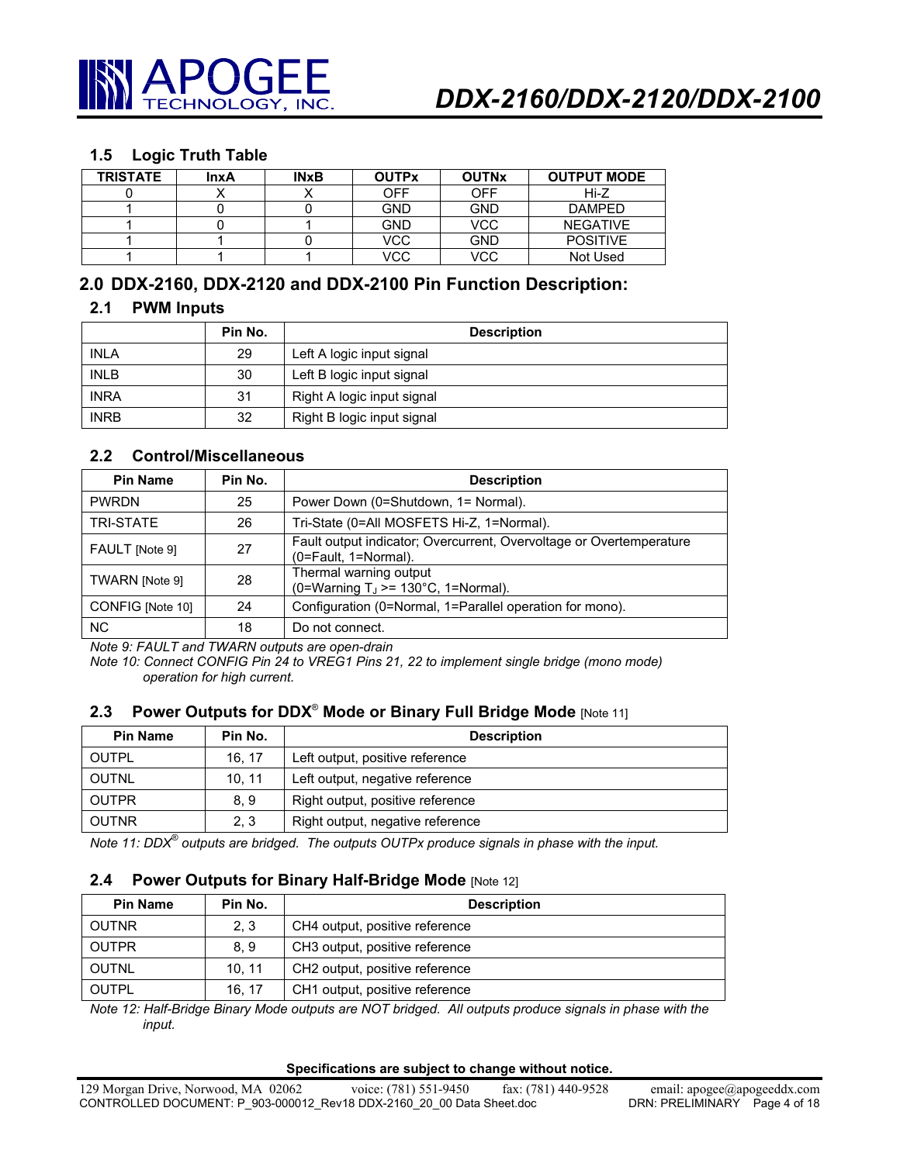

#### **1.5 Logic Truth Table**

| <b>TRISTATE</b> | <b>InxA</b> | <b>INxB</b> | <b>OUTPx</b> | <b>OUTNx</b> | <b>OUTPUT MODE</b> |
|-----------------|-------------|-------------|--------------|--------------|--------------------|
|                 |             |             | <b>OFF</b>   | OFF          | Hi-Z               |
|                 |             |             | <b>GND</b>   | <b>GND</b>   | <b>DAMPFD</b>      |
|                 |             |             | <b>GND</b>   | <b>VCC</b>   | <b>NEGATIVE</b>    |
|                 |             |             | <b>VCC</b>   | <b>GND</b>   | <b>POSITIVE</b>    |
|                 |             |             | <b>VCC</b>   | <b>VCC</b>   | Not Used           |

# **2.0 DDX-2160, DDX-2120 and DDX-2100 Pin Function Description:**

#### **2.1 PWM Inputs**

|             | Pin No. | <b>Description</b>         |
|-------------|---------|----------------------------|
| <b>INLA</b> | 29      | Left A logic input signal  |
| <b>INLB</b> | 30      | Left B logic input signal  |
| <b>INRA</b> | 31      | Right A logic input signal |
| <b>INRB</b> | 32      | Right B logic input signal |

## **2.2 Control/Miscellaneous**

| <b>Pin Name</b>  | Pin No. | <b>Description</b>                                                                          |
|------------------|---------|---------------------------------------------------------------------------------------------|
| <b>PWRDN</b>     | 25      | Power Down (0=Shutdown, 1= Normal).                                                         |
| <b>TRI-STATE</b> | 26      | Tri-State (0=All MOSFETS Hi-Z, 1=Normal).                                                   |
| FAULT [Note 9]   | 27      | Fault output indicator; Overcurrent, Overvoltage or Overtemperature<br>(0=Fault, 1=Normal). |
| TWARN [Note 9]   | 28      | Thermal warning output<br>(0=Warning $T_J$ >= 130°C, 1=Normal).                             |
| CONFIG [Note 10] | 24      | Configuration (0=Normal, 1=Parallel operation for mono).                                    |
| <b>NC</b>        | 18      | Do not connect.                                                                             |

*Note 9: FAULT and TWARN outputs are open-drain* 

*Note 10: Connect CONFIG Pin 24 to VREG1 Pins 21, 22 to implement single bridge (mono mode) operation for high current.* 

#### **2.3 Power Outputs for DDX<sup>®</sup> Mode or Binary Full Bridge Mode [Note 11]**

| <b>Pin Name</b> | Pin No. | <b>Description</b>               |
|-----------------|---------|----------------------------------|
| OUTPL           | 16.17   | Left output, positive reference  |
| OUTNL           | 10.11   | Left output, negative reference  |
| <b>OUTPR</b>    | 8.9     | Right output, positive reference |
| <b>OUTNR</b>    | 2, 3    | Right output, negative reference |

*Note 11: DDX® outputs are bridged. The outputs OUTPx produce signals in phase with the input.* 

#### **2.4 Power Outputs for Binary Half-Bridge Mode** [Note 12]

| <b>Pin Name</b> | Pin No. | <b>Description</b>             |
|-----------------|---------|--------------------------------|
| <b>OUTNR</b>    | 2.3     | CH4 output, positive reference |
| <b>OUTPR</b>    | 8.9     | CH3 output, positive reference |
| <b>OUTNL</b>    | 10.11   | CH2 output, positive reference |
| <b>OUTPL</b>    | 16.17   | CH1 output, positive reference |

*Note 12: Half-Bridge Binary Mode outputs are NOT bridged. All outputs produce signals in phase with the input.*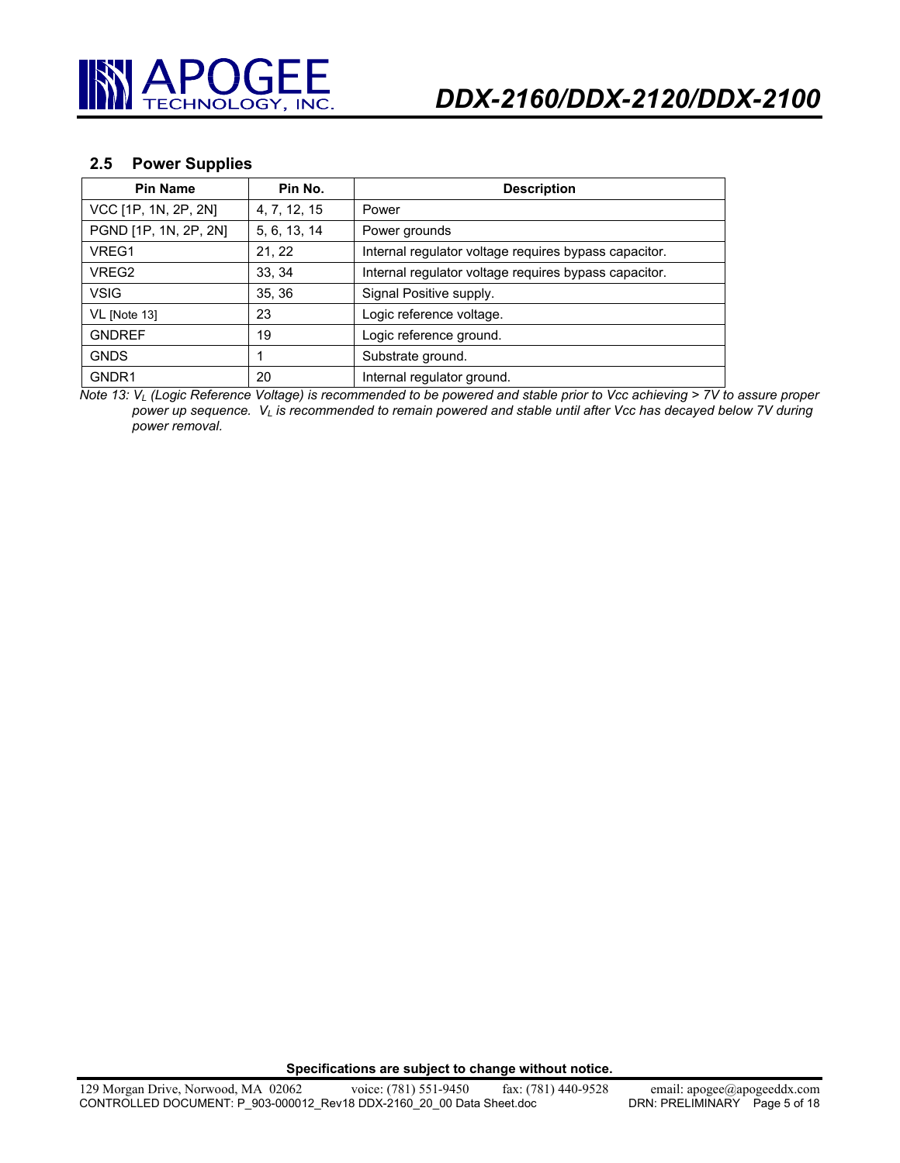

#### **2.5 Power Supplies**

| <b>Pin Name</b>       | Pin No.      | <b>Description</b>                                    |
|-----------------------|--------------|-------------------------------------------------------|
| VCC [1P, 1N, 2P, 2N]  | 4, 7, 12, 15 | Power                                                 |
| PGND [1P, 1N, 2P, 2N] | 5, 6, 13, 14 | Power grounds                                         |
| VREG1                 | 21, 22       | Internal regulator voltage requires bypass capacitor. |
| VREG2                 | 33, 34       | Internal regulator voltage requires bypass capacitor. |
| <b>VSIG</b>           | 35, 36       | Signal Positive supply.                               |
| VL [Note 13]          | 23           | Logic reference voltage.                              |
| <b>GNDREF</b>         | 19           | Logic reference ground.                               |
| <b>GNDS</b>           |              | Substrate ground.                                     |
| GNDR1                 | 20           | Internal regulator ground.                            |

*Note 13: VL (Logic Reference Voltage) is recommended to be powered and stable prior to Vcc achieving > 7V to assure proper power up sequence. VL is recommended to remain powered and stable until after Vcc has decayed below 7V during power removal.*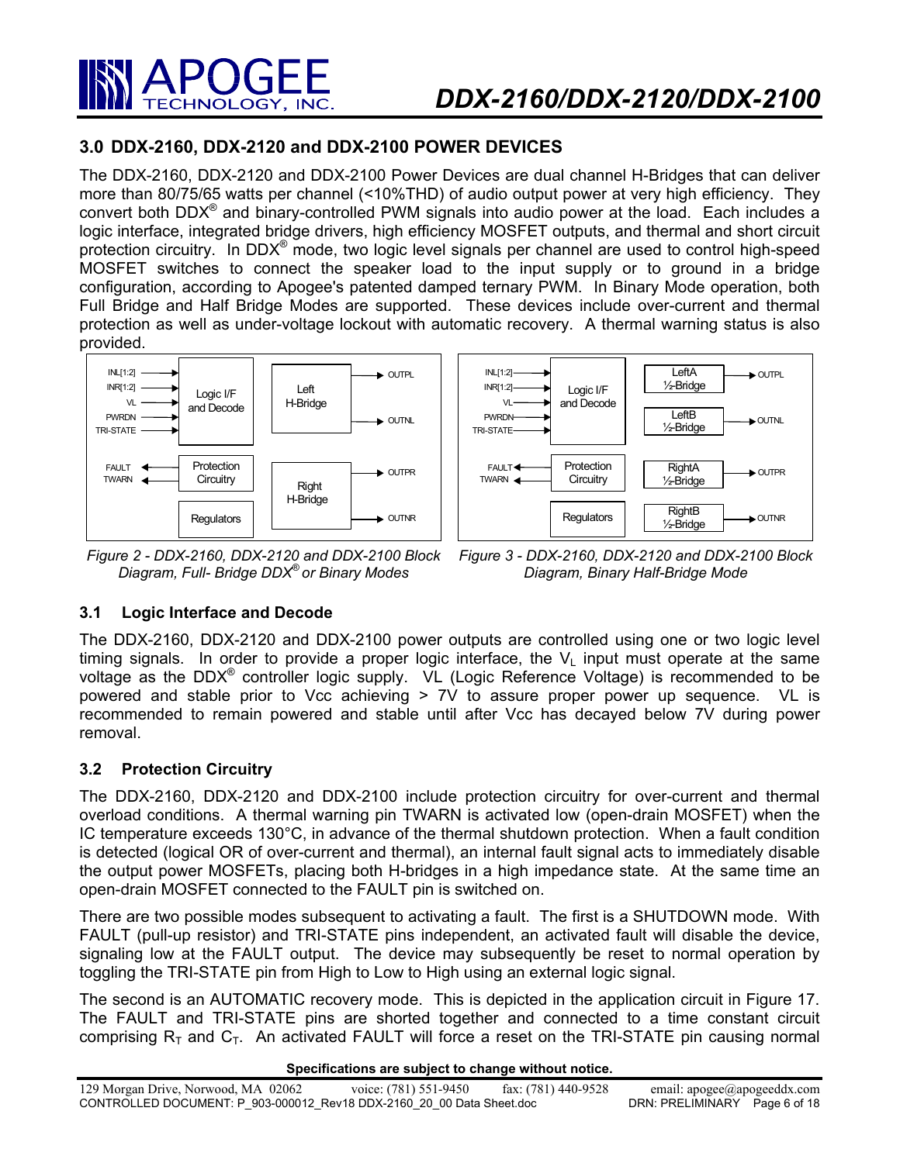

# **3.0 DDX-2160, DDX-2120 and DDX-2100 POWER DEVICES**

The DDX-2160, DDX-2120 and DDX-2100 Power Devices are dual channel H-Bridges that can deliver more than 80/75/65 watts per channel (<10%THD) of audio output power at very high efficiency. They convert both  $DDX^{\circledast}$  and binary-controlled PWM signals into audio power at the load. Each includes a logic interface, integrated bridge drivers, high efficiency MOSFET outputs, and thermal and short circuit protection circuitry. In DDX® mode, two logic level signals per channel are used to control high-speed MOSFET switches to connect the speaker load to the input supply or to ground in a bridge configuration, according to Apogee's patented damped ternary PWM. In Binary Mode operation, both Full Bridge and Half Bridge Modes are supported. These devices include over-current and thermal protection as well as under-voltage lockout with automatic recovery. A thermal warning status is also provided.



*Figure 2 - DDX-2160, DDX-2120 and DDX-2100 Block Diagram, Full- Bridge DDX® or Binary Modes* 



*Figure 3 - DDX-2160, DDX-2120 and DDX-2100 Block Diagram, Binary Half-Bridge Mode* 

# **3.1 Logic Interface and Decode**

The DDX-2160, DDX-2120 and DDX-2100 power outputs are controlled using one or two logic level timing signals. In order to provide a proper logic interface, the  $V_1$  input must operate at the same voltage as the  $DDX^{\circledast}$  controller logic supply. VL (Logic Reference Voltage) is recommended to be powered and stable prior to Vcc achieving > 7V to assure proper power up sequence. VL is recommended to remain powered and stable until after Vcc has decayed below 7V during power removal.

## **3.2 Protection Circuitry**

The DDX-2160, DDX-2120 and DDX-2100 include protection circuitry for over-current and thermal overload conditions. A thermal warning pin TWARN is activated low (open-drain MOSFET) when the IC temperature exceeds 130°C, in advance of the thermal shutdown protection. When a fault condition is detected (logical OR of over-current and thermal), an internal fault signal acts to immediately disable the output power MOSFETs, placing both H-bridges in a high impedance state. At the same time an open-drain MOSFET connected to the FAULT pin is switched on.

There are two possible modes subsequent to activating a fault. The first is a SHUTDOWN mode. With FAULT (pull-up resistor) and TRI-STATE pins independent, an activated fault will disable the device, signaling low at the FAULT output. The device may subsequently be reset to normal operation by toggling the TRI-STATE pin from High to Low to High using an external logic signal.

The second is an AUTOMATIC recovery mode. This is depicted in the application circuit in Figure 17. The FAULT and TRI-STATE pins are shorted together and connected to a time constant circuit comprising  $R<sub>T</sub>$  and  $C<sub>T</sub>$ . An activated FAULT will force a reset on the TRI-STATE pin causing normal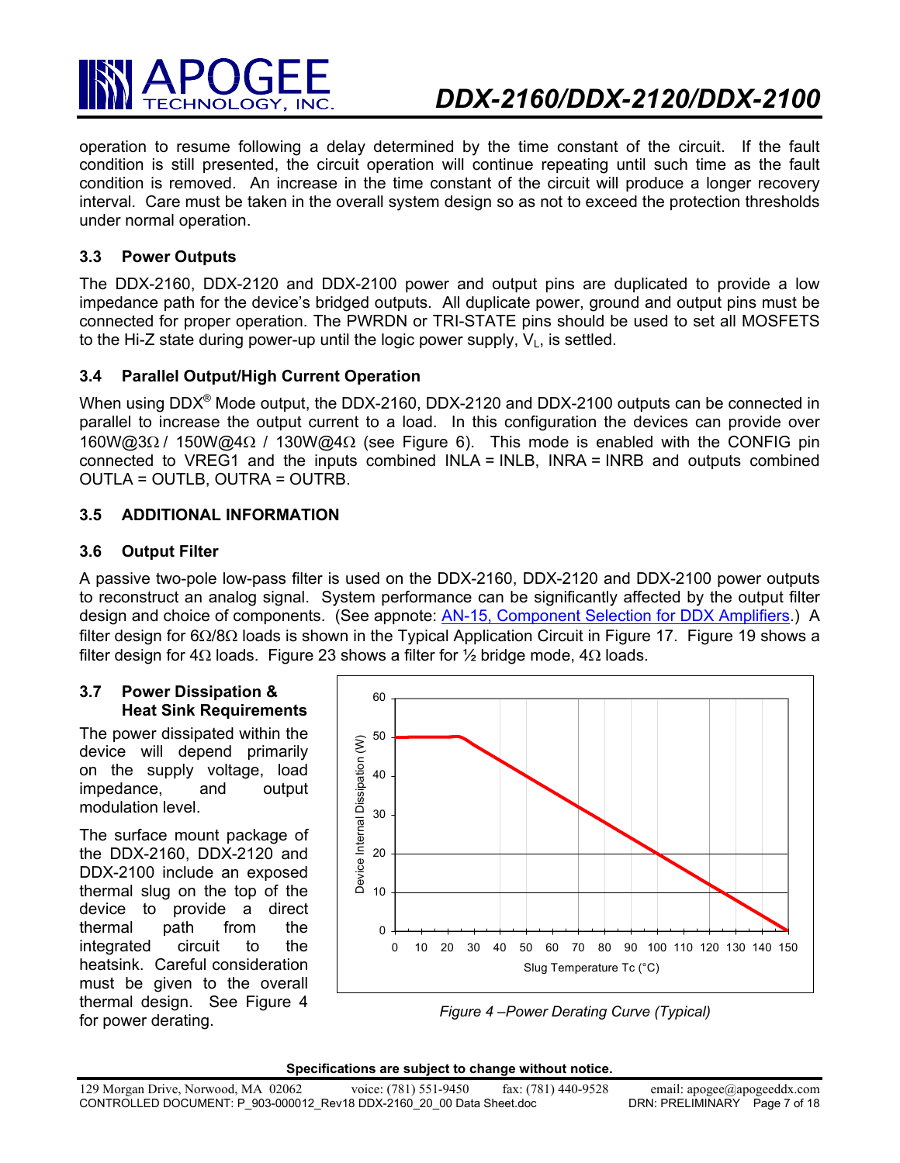

operation to resume following a delay determined by the time constant of the circuit. If the fault condition is still presented, the circuit operation will continue repeating until such time as the fault condition is removed. An increase in the time constant of the circuit will produce a longer recovery interval. Care must be taken in the overall system design so as not to exceed the protection thresholds under normal operation.

## **3.3 Power Outputs**

The DDX-2160, DDX-2120 and DDX-2100 power and output pins are duplicated to provide a low impedance path for the device's bridged outputs. All duplicate power, ground and output pins must be connected for proper operation. The PWRDN or TRI-STATE pins should be used to set all MOSFETS to the Hi-Z state during power-up until the logic power supply,  $V_1$ , is settled.

# **3.4 Parallel Output/High Current Operation**

When using DDX<sup>®</sup> Mode output, the DDX-2160, DDX-2120 and DDX-2100 outputs can be connected in parallel to increase the output current to a load. In this configuration the devices can provide over 160W@3Ω / 150W@4Ω / 130W@4Ω (see Figure 6). This mode is enabled with the CONFIG pin connected to VREG1 and the inputs combined INLA = INLB, INRA = INRB and outputs combined OUTLA = OUTLB, OUTRA = OUTRB.

## **3.5 ADDITIONAL INFORMATION**

## **3.6 Output Filter**

A passive two-pole low-pass filter is used on the DDX-2160, DDX-2120 and DDX-2100 power outputs to reconstruct an analog signal. System performance can be significantly affected by the output filter design and choice of components. (See appnote: AN-15, Component Selection for DDX Amplifiers.) A filter design for 6Ω/8Ω loads is shown in the Typical Application Circuit in Figure 17. Figure 19 shows a filter design for 4 $\Omega$  loads. Figure 23 shows a filter for 1/2 bridge mode, 4 $\Omega$  loads.

#### **3.7 Power Dissipation & Heat Sink Requirements**

The power dissipated within the device will depend primarily on the supply voltage, load impedance, and output modulation level.

The surface mount package of the DDX-2160, DDX-2120 and DDX-2100 include an exposed thermal slug on the top of the device to provide a direct thermal path from the integrated circuit to the heatsink. Careful consideration must be given to the overall thermal design. See Figure 4 for power derating.



*Figure 4 –Power Derating Curve (Typical)* 

|  | Specifications are subject to change without notice. |
|--|------------------------------------------------------|
|--|------------------------------------------------------|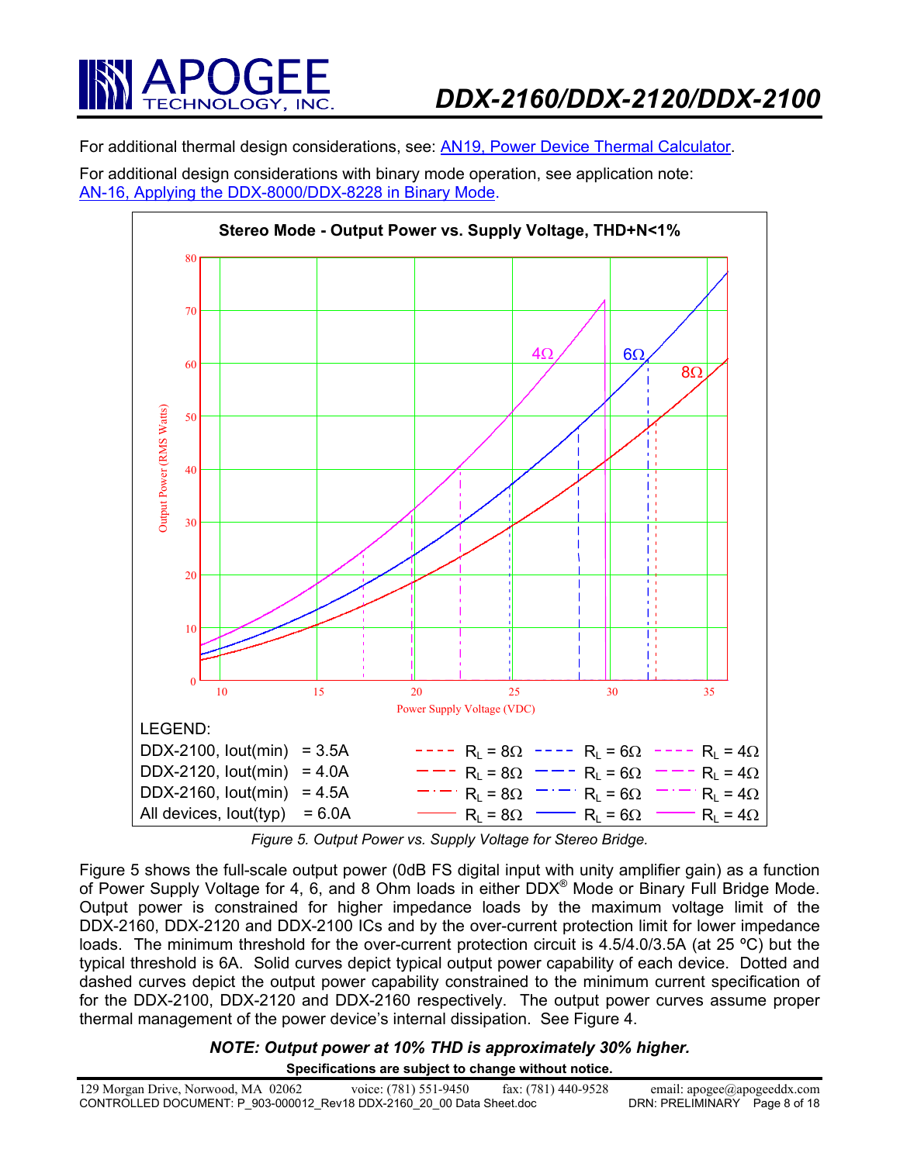

For additional thermal design considerations, see: AN19, Power Device Thermal Calculator.

For additional design considerations with binary mode operation, see application note: AN-16, Applying the DDX-8000/DDX-8228 in Binary Mode.



*Figure 5. Output Power vs. Supply Voltage for Stereo Bridge.* 

Figure 5 shows the full-scale output power (0dB FS digital input with unity amplifier gain) as a function of Power Supply Voltage for 4, 6, and 8 Ohm loads in either DDX<sup>®</sup> Mode or Binary Full Bridge Mode. Output power is constrained for higher impedance loads by the maximum voltage limit of the DDX-2160, DDX-2120 and DDX-2100 ICs and by the over-current protection limit for lower impedance loads. The minimum threshold for the over-current protection circuit is 4.5/4.0/3.5A (at 25 °C) but the typical threshold is 6A. Solid curves depict typical output power capability of each device. Dotted and dashed curves depict the output power capability constrained to the minimum current specification of for the DDX-2100, DDX-2120 and DDX-2160 respectively. The output power curves assume proper thermal management of the power device's internal dissipation. See Figure 4.

#### **Specifications are subject to change without notice.**  *NOTE: Output power at 10% THD is approximately 30% higher.*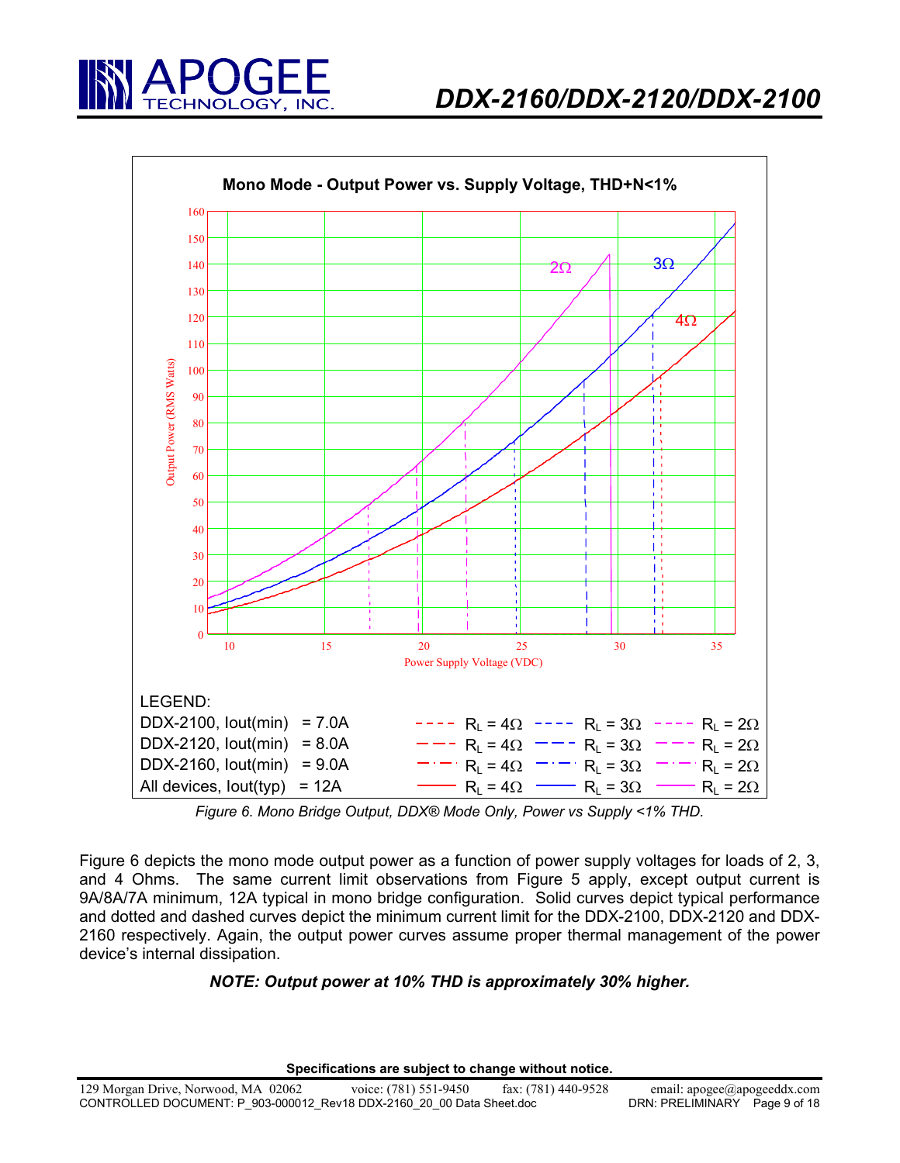



*Figure 6. Mono Bridge Output, DDX® Mode Only, Power vs Supply <1% THD.* 

Figure 6 depicts the mono mode output power as a function of power supply voltages for loads of 2, 3, and 4 Ohms. The same current limit observations from Figure 5 apply, except output current is 9A/8A/7A minimum, 12A typical in mono bridge configuration. Solid curves depict typical performance and dotted and dashed curves depict the minimum current limit for the DDX-2100, DDX-2120 and DDX-2160 respectively. Again, the output power curves assume proper thermal management of the power device's internal dissipation.

# *NOTE: Output power at 10% THD is approximately 30% higher.*

**Specifications are subject to change without notice.**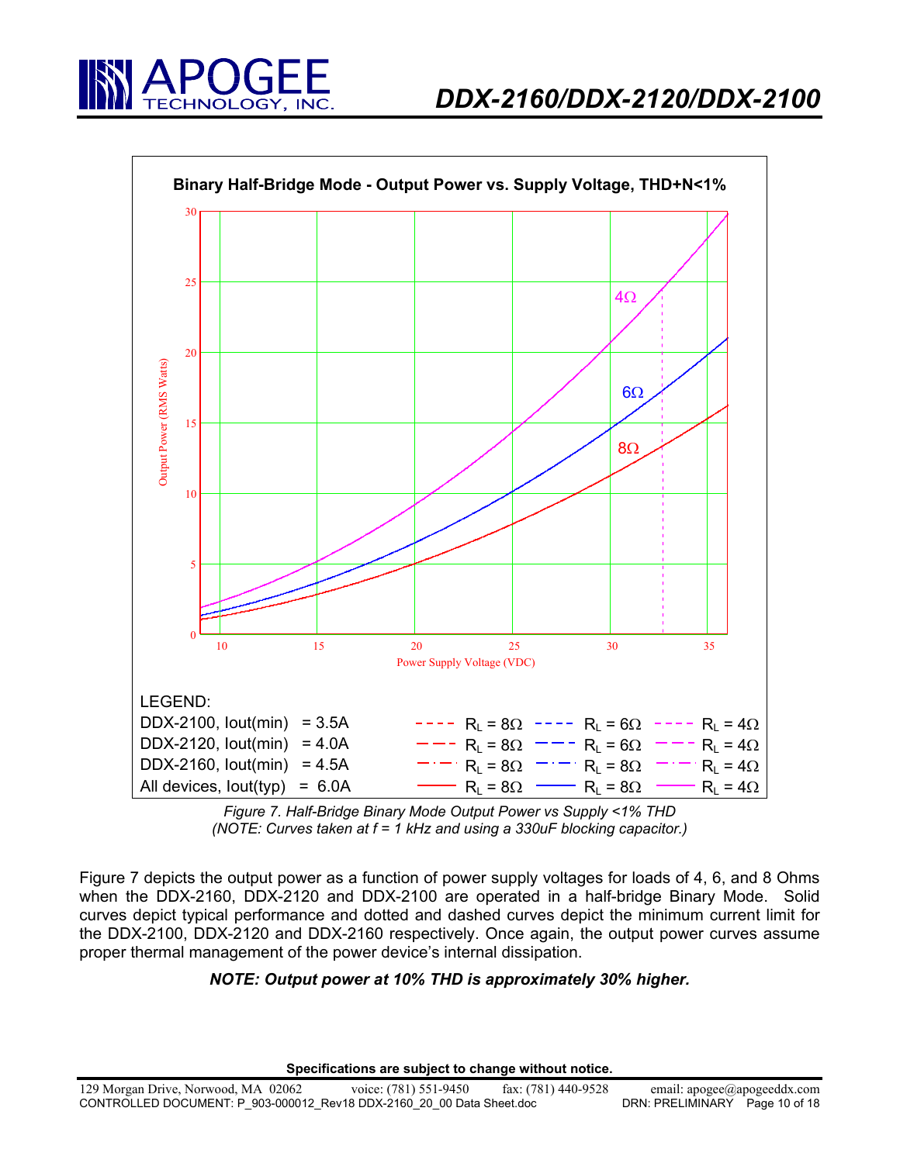





*Figure 7. Half-Bridge Binary Mode Output Power vs Supply <1% THD (NOTE: Curves taken at f = 1 kHz and using a 330uF blocking capacitor.)* 

Figure 7 depicts the output power as a function of power supply voltages for loads of 4, 6, and 8 Ohms when the DDX-2160, DDX-2120 and DDX-2100 are operated in a half-bridge Binary Mode. Solid curves depict typical performance and dotted and dashed curves depict the minimum current limit for the DDX-2100, DDX-2120 and DDX-2160 respectively. Once again, the output power curves assume proper thermal management of the power device's internal dissipation.

## *NOTE: Output power at 10% THD is approximately 30% higher.*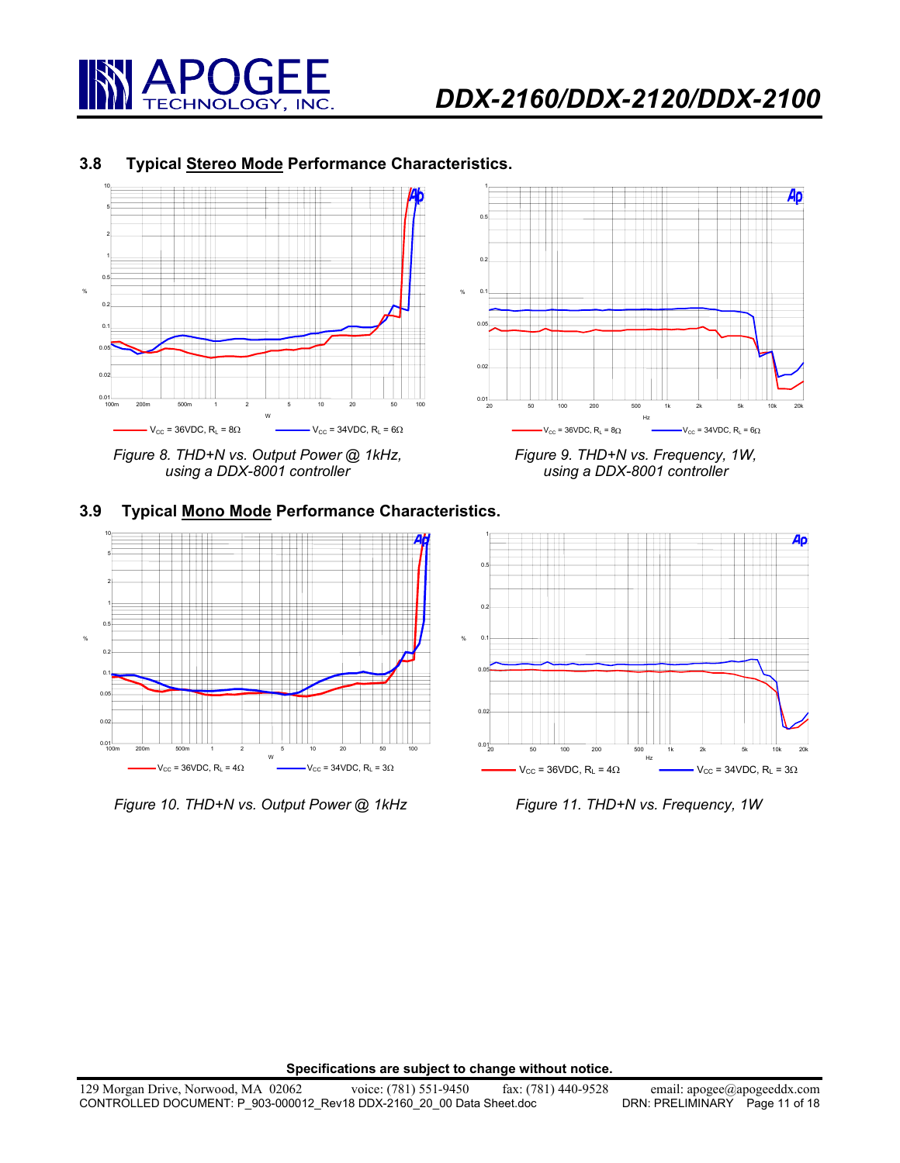

#### **3.8 Typical Stereo Mode Performance Characteristics.**



*Figure 8. THD+N vs. Output Power @ 1kHz, using a DDX-8001 controller* 



# **3.9 Typical Mono Mode Performance Characteristics.**



*Figure 10. THD+N vs. Output Power @ 1kHz Figure 11. THD+N vs. Frequency, 1W*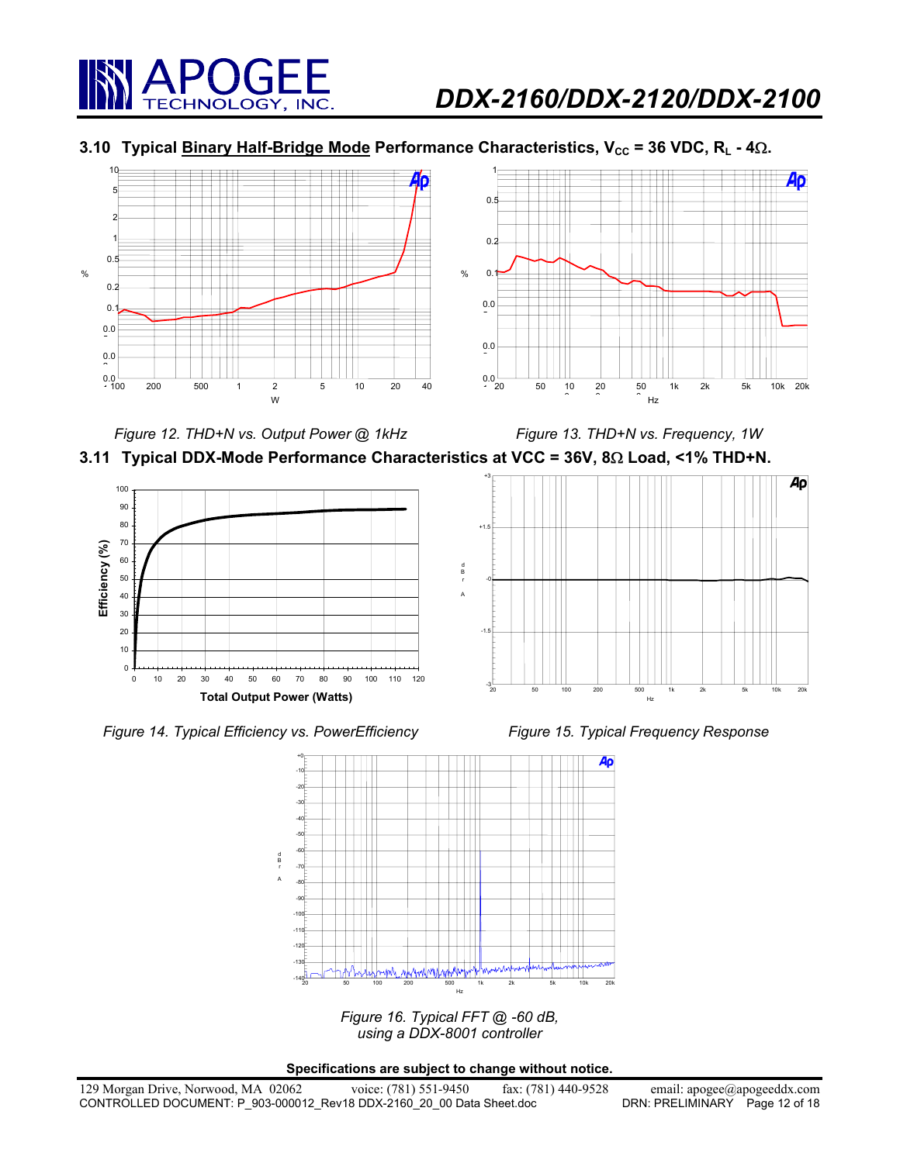

# **3.10 Typical Binary Half-Bridge Mode Performance Characteristics, V<sub>cc</sub> = 36 VDC, R<sub>L</sub> - 4Ω.**



*Figure 12. THD+N vs. Output Power @ 1kHz Figure 13. THD+N vs. Frequency, 1W* 





d B r A









*Figure 16. Typical FFT @ -60 dB, using a DDX-8001 controller*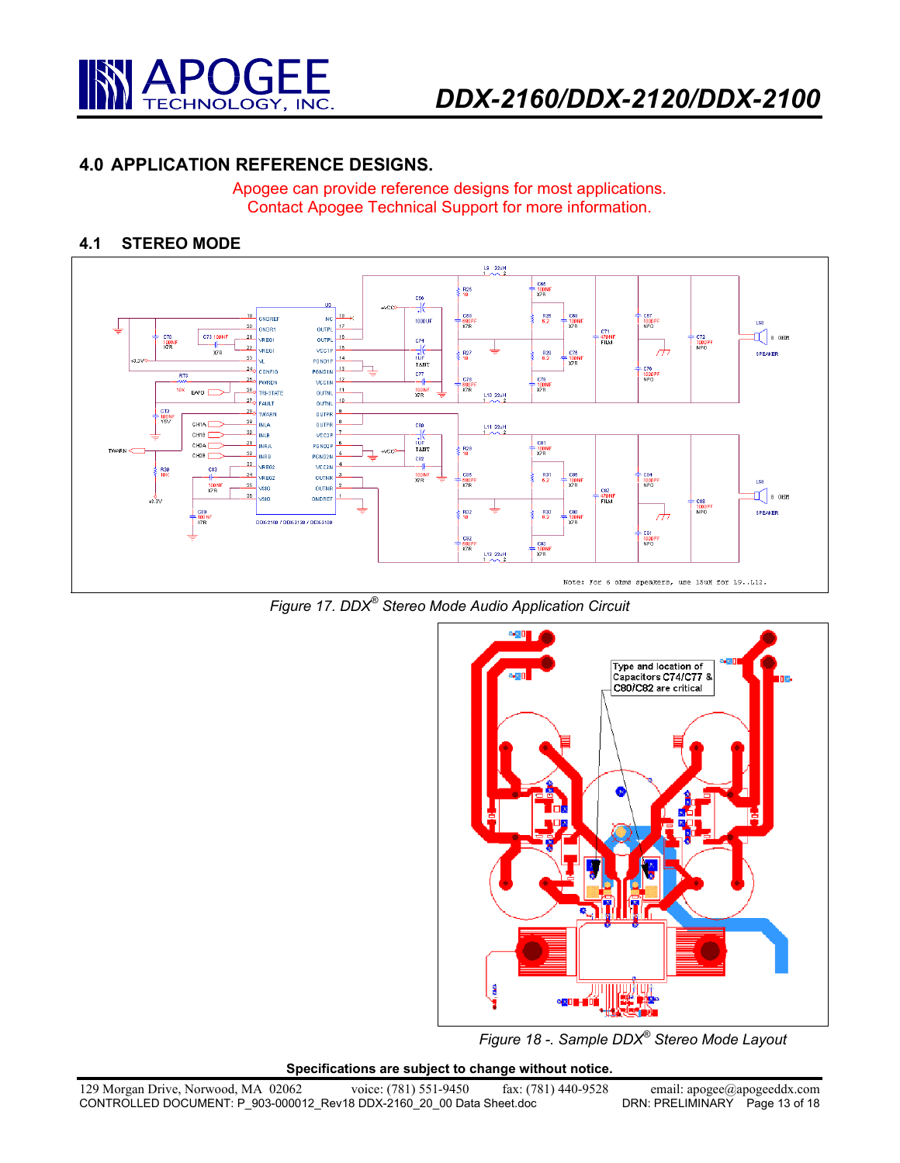

# **4.0 APPLICATION REFERENCE DESIGNS.**

Apogee can provide reference designs for most applications. Contact Apogee Technical Support for more information.

#### **4.1 STEREO MODE**







*Figure 18 -. Sample DDX® Stereo Mode Layout*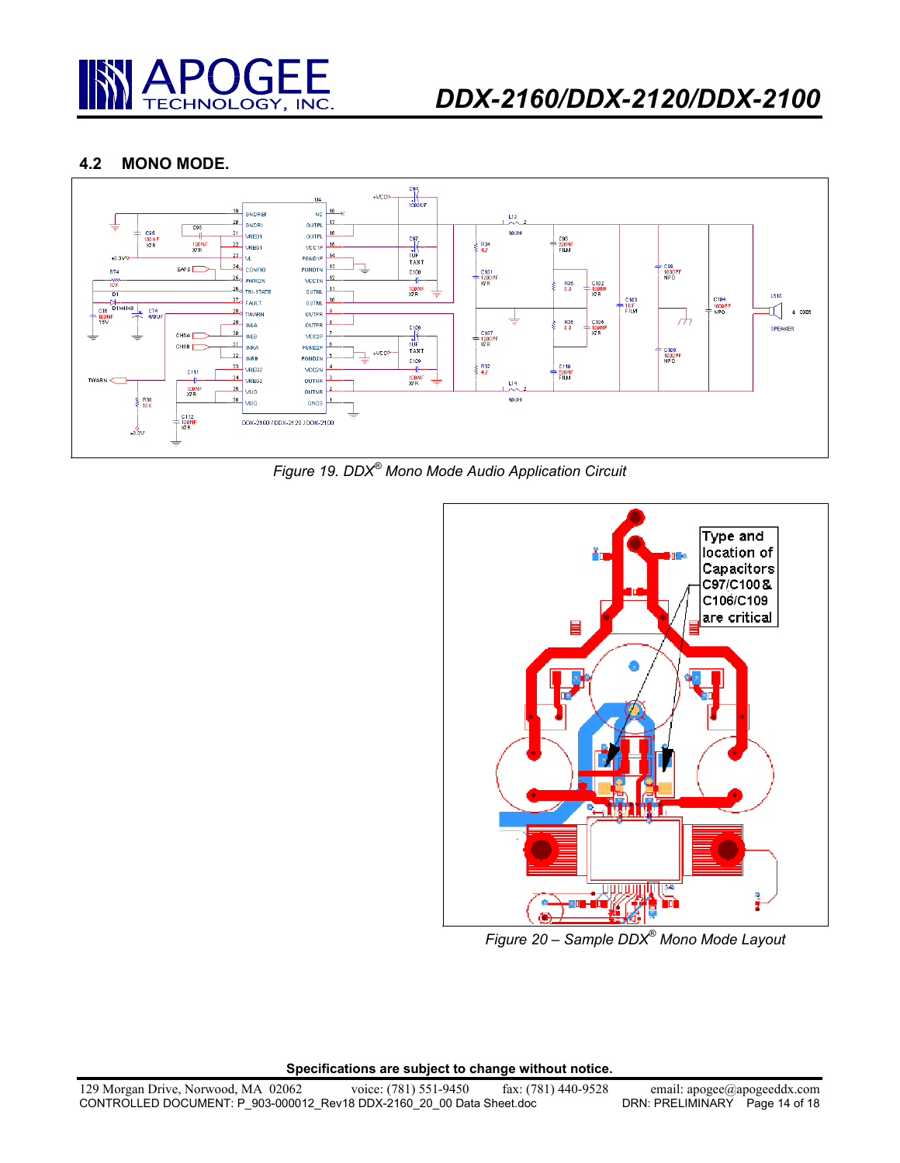

#### **4.2 MONO MODE.**



*Figure 19. DDX® Mono Mode Audio Application Circuit* 



*Figure 20 – Sample DDX® Mono Mode Layout*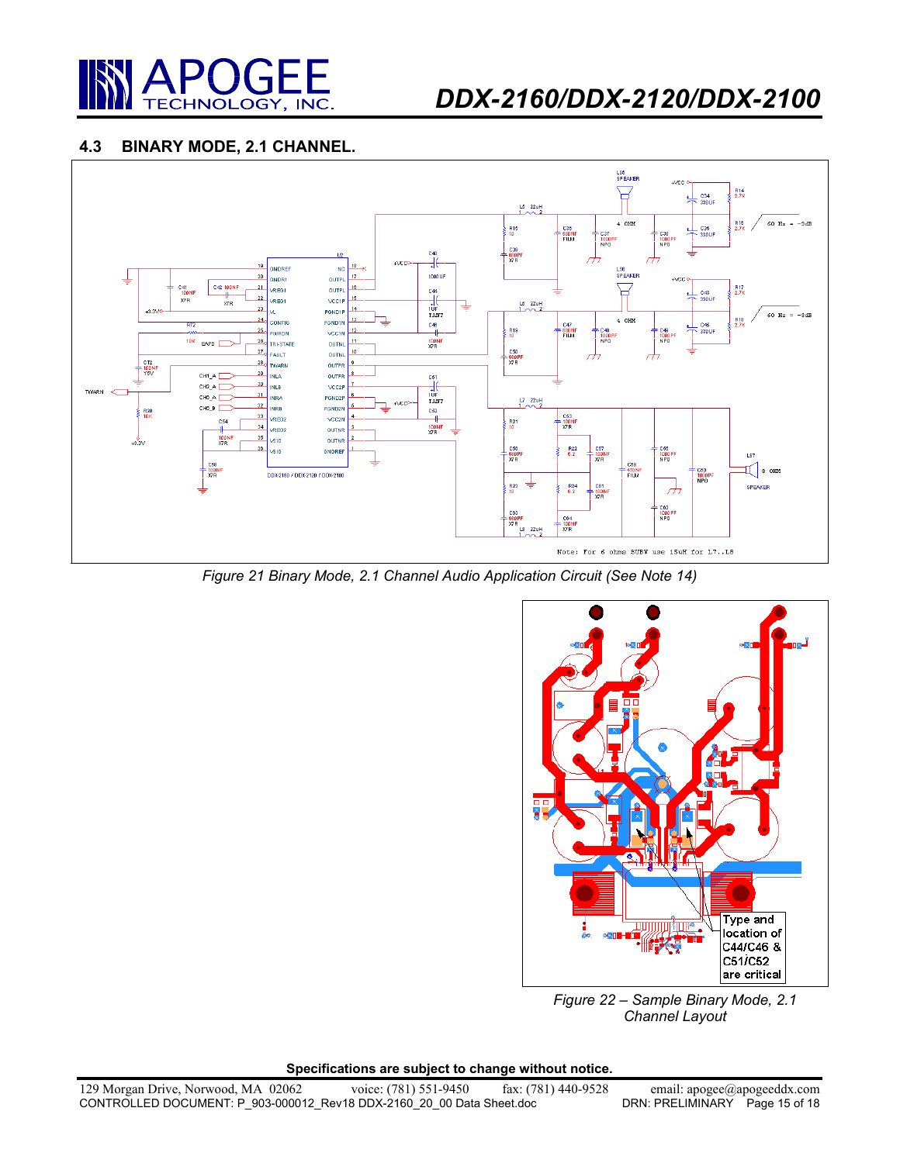

# *DDX-2160/DDX-2120/DDX-2100*

## **4.3 BINARY MODE, 2.1 CHANNEL.**



*Figure 21 Binary Mode, 2.1 Channel Audio Application Circuit (See Note 14)* 



*Figure 22 – Sample Binary Mode, 2.1 Channel Layout*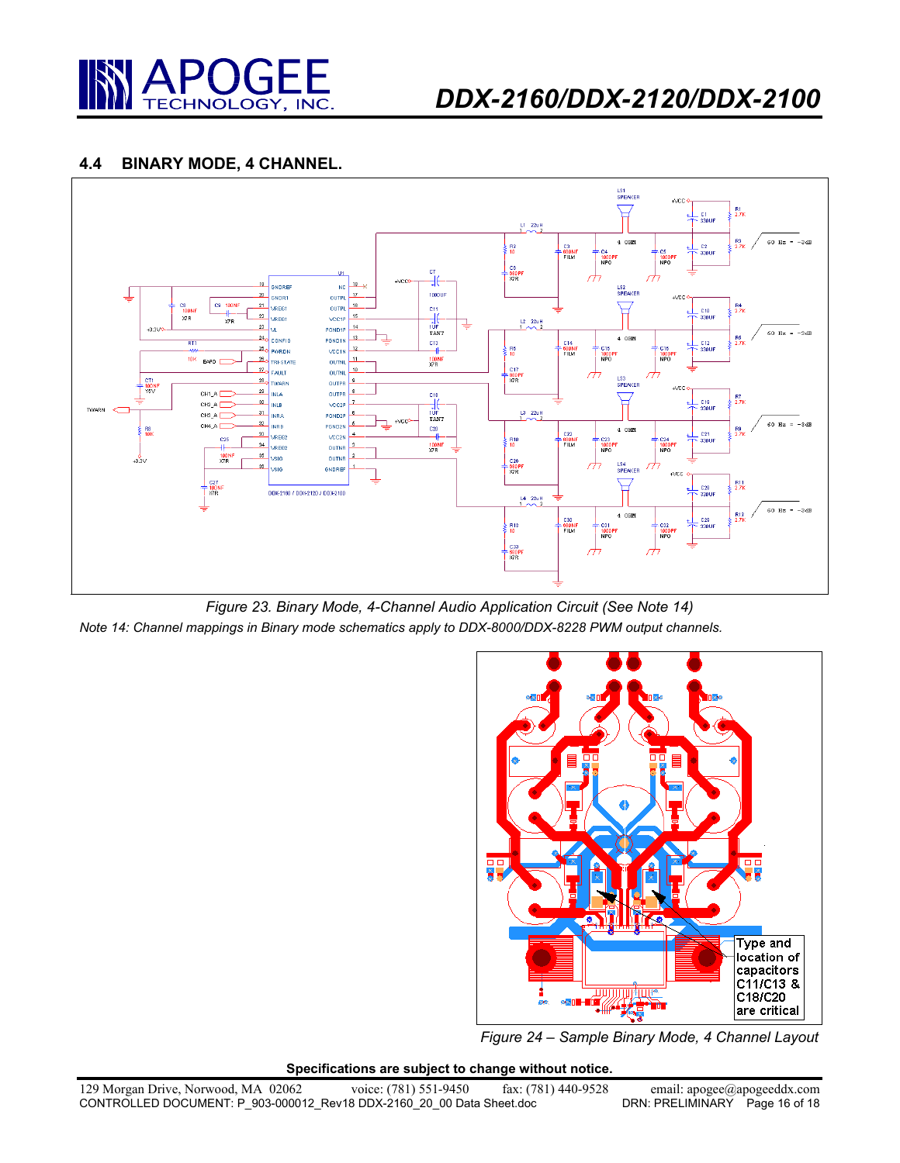

#### **4.4 BINARY MODE, 4 CHANNEL.**



*Figure 23. Binary Mode, 4-Channel Audio Application Circuit (See Note 14) Note 14: Channel mappings in Binary mode schematics apply to DDX-8000/DDX-8228 PWM output channels.* 



*Figure 24 – Sample Binary Mode, 4 Channel Layout*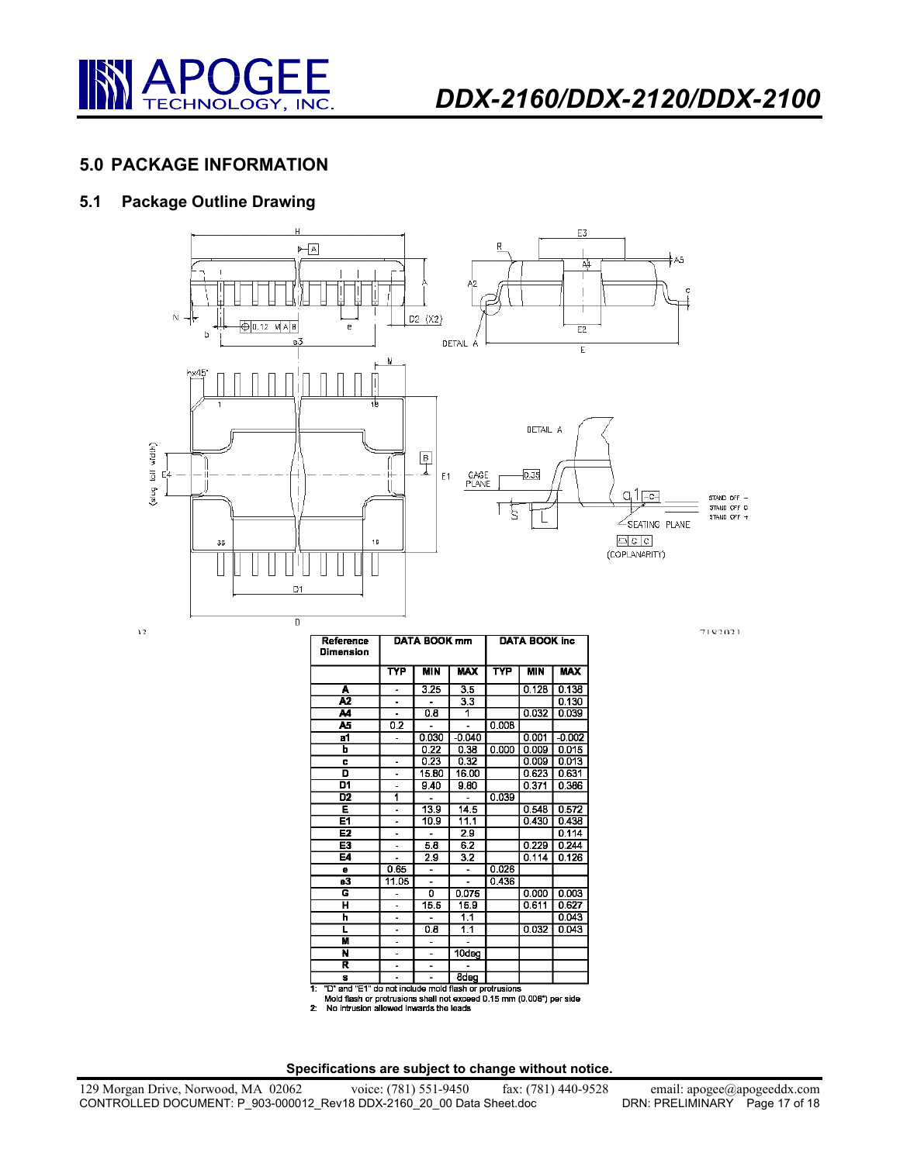

# **5.0 PACKAGE INFORMATION**

## **5.1 Package Outline Drawing**



| Reference<br>Dimension                                                                                                             | DATA BOOK mm             |            |             | <b>DATA BOOK inc.</b> |            |            |
|------------------------------------------------------------------------------------------------------------------------------------|--------------------------|------------|-------------|-----------------------|------------|------------|
|                                                                                                                                    | <b>TYP</b>               | <b>MIN</b> | <b>MAX</b>  | TYP                   | <b>MIN</b> | <b>MAX</b> |
| A                                                                                                                                  | -                        | 3.25       | 3.5         |                       | 0.128      | 0.138      |
| A <sub>2</sub>                                                                                                                     |                          |            | 3.3         |                       |            | 0.130      |
| м                                                                                                                                  |                          | 0.8        | 1           |                       | 0.032      | 0.039      |
| 45                                                                                                                                 | 0.2                      | ä,         | ä,          | 0.008                 |            |            |
| $\overline{a}$ 1                                                                                                                   |                          | 0.030      | $-0.040$    |                       | 0.001      | $-0.002$   |
| ь                                                                                                                                  |                          | 0.22       | 0.38        | 0.000                 | 0.009      | 0.015      |
| c                                                                                                                                  | ä,                       | 0.23       | 0.32        |                       | 0.009      | 0.013      |
| D                                                                                                                                  | ÷,                       | 15.80      | 16.00       |                       | 0.623      | 0.631      |
| D1                                                                                                                                 | $\overline{a}$           | 9.40       | 9.80        |                       | 0.371      | 0.386      |
| D <sub>2</sub>                                                                                                                     | 1                        |            |             | 0.039                 |            |            |
| Ē                                                                                                                                  | $\overline{\phantom{0}}$ | 13.9       | 14.5        |                       | 0.548      | 0.572      |
| E1                                                                                                                                 | L,                       | 10.9       | 11.1        |                       | 0.430      | 0.438      |
| E2                                                                                                                                 | L.                       |            | 2.9         |                       |            | 0.114      |
| E3                                                                                                                                 | L.                       | 5.8        | 6.2         |                       | 0.229      | 0.244      |
| E4                                                                                                                                 |                          | 2.9        | 3.2         |                       | 0.114      | 0.126      |
| e                                                                                                                                  | 0.65                     | ä,         |             | 0.026                 |            |            |
| $\overline{a3}$                                                                                                                    | 11.05                    | L.         |             | 0.436                 |            |            |
| G                                                                                                                                  | ä,                       | ក          | 0.075       |                       | 0.000      | 0.003      |
| ਸ                                                                                                                                  |                          | 15.5       | 15.9        |                       | 0.611      | 0.627      |
| h                                                                                                                                  | ÷,                       |            | 1.1         |                       |            | 0.043      |
| ī                                                                                                                                  | ä,                       | 0.8        | 1.1         |                       | 0.032      | 0.043      |
| М                                                                                                                                  |                          |            |             |                       |            |            |
| N                                                                                                                                  | L.                       | ۰          | 10deg       |                       |            |            |
| R                                                                                                                                  | $\overline{a}$           | -          |             |                       |            |            |
| s                                                                                                                                  |                          |            | <b>Bdeg</b> |                       |            |            |
| Ŧ<br>"D" and "E1" do not include mold flash or protrusions<br>Mold flash or protrusions shall not exceed 0.15 mm (0.006") per side |                          |            |             |                       |            |            |

Mold flash or protrusions shall not exce<br>2: No intrusion allowed inwards the leads